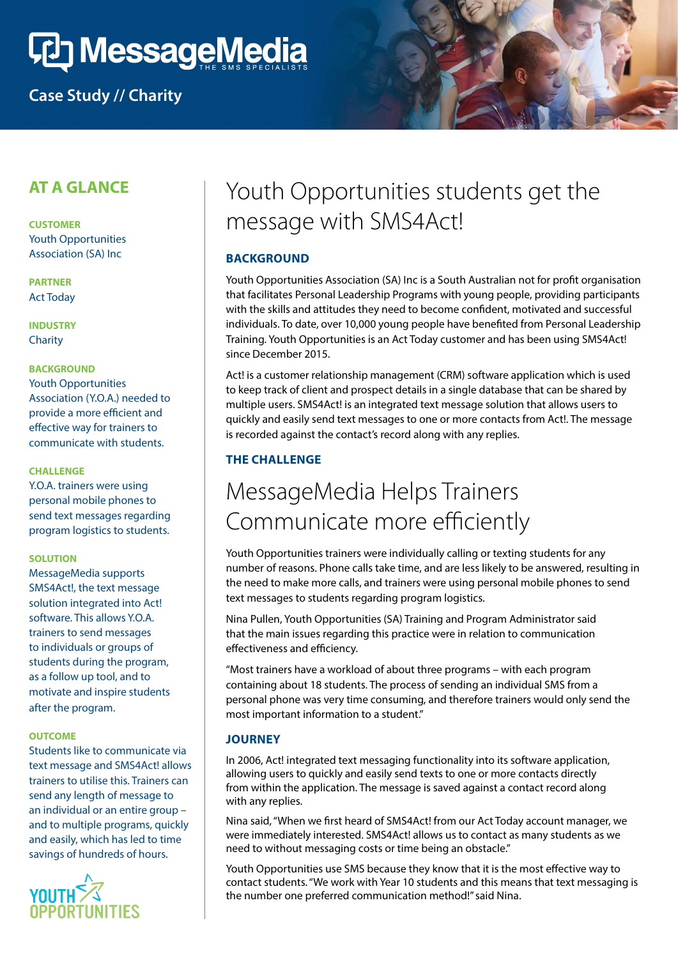# **CD MessageMedia**

## **Case Study // Charity**

### **AT A GLANCE**

**CUSTOMER** Youth Opportunities Association (SA) Inc

**PARTNER** Act Today

**INDUSTRY Charity** 

#### **BACKGROUND**

Youth Opportunities Association (Y.O.A.) needed to provide a more efficient and effective way for trainers to communicate with students.

#### **CHALLENGE**

Y.O.A. trainers were using personal mobile phones to send text messages regarding program logistics to students.

#### **SOLUTION**

MessageMedia supports SMS4Act!, the text message solution integrated into Act! software. This allows Y.O.A. trainers to send messages to individuals or groups of students during the program, as a follow up tool, and to motivate and inspire students after the program.

#### **OUTCOME**

Students like to communicate via text message and SMS4Act! allows trainers to utilise this. Trainers can send any length of message to an individual or an entire group – and to multiple programs, quickly and easily, which has led to time savings of hundreds of hours.



# Youth Opportunities students get the message with SMS4Act!

#### **BACKGROUND**

Youth Opportunities Association (SA) Inc is a South Australian not for profit organisation that facilitates Personal Leadership Programs with young people, providing participants with the skills and attitudes they need to become confident, motivated and successful individuals. To date, over 10,000 young people have benefited from Personal Leadership Training. Youth Opportunities is an Act Today customer and has been using SMS4Act! since December 2015.

Act! is a customer relationship management (CRM) software application which is used to keep track of client and prospect details in a single database that can be shared by multiple users. SMS4Act! is an integrated text message solution that allows users to quickly and easily send text messages to one or more contacts from Act!. The message is recorded against the contact's record along with any replies.

#### **THE CHALLENGE**

# MessageMedia Helps Trainers Communicate more efficiently

Youth Opportunities trainers were individually calling or texting students for any number of reasons. Phone calls take time, and are less likely to be answered, resulting in the need to make more calls, and trainers were using personal mobile phones to send text messages to students regarding program logistics.

Nina Pullen, Youth Opportunities (SA) Training and Program Administrator said that the main issues regarding this practice were in relation to communication effectiveness and efficiency.

"Most trainers have a workload of about three programs – with each program containing about 18 students. The process of sending an individual SMS from a personal phone was very time consuming, and therefore trainers would only send the most important information to a student."

#### **JOURNEY**

In 2006, Act! integrated text messaging functionality into its software application, allowing users to quickly and easily send texts to one or more contacts directly from within the application. The message is saved against a contact record along with any replies.

Nina said, "When we first heard of SMS4Act! from our Act Today account manager, we were immediately interested. SMS4Act! allows us to contact as many students as we need to without messaging costs or time being an obstacle."

Youth Opportunities use SMS because they know that it is the most effective way to contact students. "We work with Year 10 students and this means that text messaging is the number one preferred communication method!" said Nina.